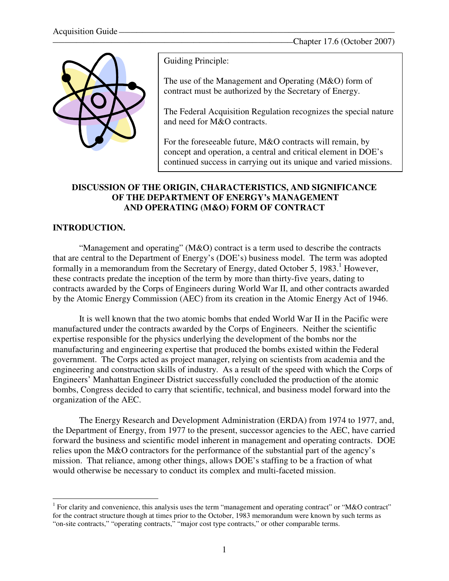

Guiding Principle:

The use of the Management and Operating (M&O) form of contract must be authorized by the Secretary of Energy.

The Federal Acquisition Regulation recognizes the special nature and need for M&O contracts.

For the foreseeable future, M&O contracts will remain, by concept and operation, a central and critical element in DOE's continued success in carrying out its unique and varied missions.

### **DISCUSSION OF THE ORIGIN, CHARACTERISTICS, AND SIGNIFICANCE OF THE DEPARTMENT OF ENERGY's MANAGEMENT AND OPERATING (M&O) FORM OF CONTRACT**

# **INTRODUCTION.**

 "Management and operating" (M&O) contract is a term used to describe the contracts that are central to the Department of Energy's (DOE's) business model. The term was adopted formally in a memorandum from the Secretary of Energy, dated October 5, 1983.<sup>1</sup> However, these contracts predate the inception of the term by more than thirty-five years, dating to contracts awarded by the Corps of Engineers during World War II, and other contracts awarded by the Atomic Energy Commission (AEC) from its creation in the Atomic Energy Act of 1946.

 It is well known that the two atomic bombs that ended World War II in the Pacific were manufactured under the contracts awarded by the Corps of Engineers. Neither the scientific expertise responsible for the physics underlying the development of the bombs nor the manufacturing and engineering expertise that produced the bombs existed within the Federal government. The Corps acted as project manager, relying on scientists from academia and the engineering and construction skills of industry. As a result of the speed with which the Corps of Engineers' Manhattan Engineer District successfully concluded the production of the atomic bombs, Congress decided to carry that scientific, technical, and business model forward into the organization of the AEC.

 The Energy Research and Development Administration (ERDA) from 1974 to 1977, and, the Department of Energy, from 1977 to the present, successor agencies to the AEC, have carried forward the business and scientific model inherent in management and operating contracts. DOE relies upon the M&O contractors for the performance of the substantial part of the agency's mission. That reliance, among other things, allows DOE's staffing to be a fraction of what would otherwise be necessary to conduct its complex and multi-faceted mission.

 $\overline{a}$ <sup>1</sup> For clarity and convenience, this analysis uses the term "management and operating contract" or "M&O contract" for the contract structure though at times prior to the October, 1983 memorandum were known by such terms as "on-site contracts," "operating contracts," "major cost type contracts," or other comparable terms.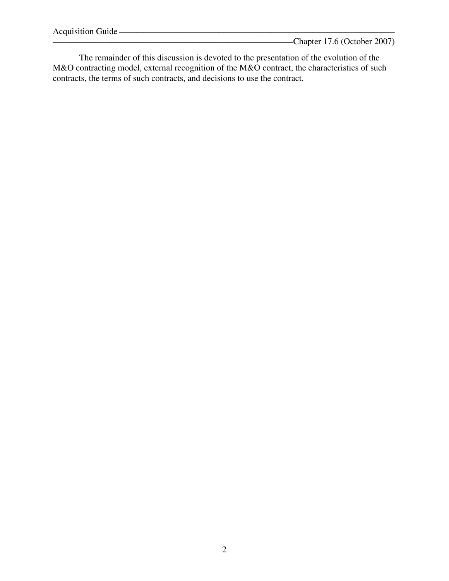-Chapter 17.6 (October 2007)

 The remainder of this discussion is devoted to the presentation of the evolution of the M&O contracting model, external recognition of the M&O contract, the characteristics of such contracts, the terms of such contracts, and decisions to use the contract.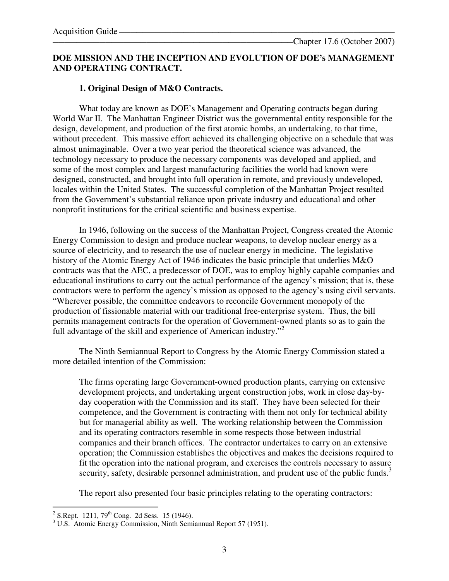# **DOE MISSION AND THE INCEPTION AND EVOLUTION OF DOE's MANAGEMENT AND OPERATING CONTRACT.**

### **1. Original Design of M&O Contracts.**

 What today are known as DOE's Management and Operating contracts began during World War II. The Manhattan Engineer District was the governmental entity responsible for the design, development, and production of the first atomic bombs, an undertaking, to that time, without precedent. This massive effort achieved its challenging objective on a schedule that was almost unimaginable. Over a two year period the theoretical science was advanced, the technology necessary to produce the necessary components was developed and applied, and some of the most complex and largest manufacturing facilities the world had known were designed, constructed, and brought into full operation in remote, and previously undeveloped, locales within the United States. The successful completion of the Manhattan Project resulted from the Government's substantial reliance upon private industry and educational and other nonprofit institutions for the critical scientific and business expertise.

 In 1946, following on the success of the Manhattan Project, Congress created the Atomic Energy Commission to design and produce nuclear weapons, to develop nuclear energy as a source of electricity, and to research the use of nuclear energy in medicine. The legislative history of the Atomic Energy Act of 1946 indicates the basic principle that underlies M&O contracts was that the AEC, a predecessor of DOE, was to employ highly capable companies and educational institutions to carry out the actual performance of the agency's mission; that is, these contractors were to perform the agency's mission as opposed to the agency's using civil servants. "Wherever possible, the committee endeavors to reconcile Government monopoly of the production of fissionable material with our traditional free-enterprise system. Thus, the bill permits management contracts for the operation of Government-owned plants so as to gain the full advantage of the skill and experience of American industry."<sup>2</sup>

 The Ninth Semiannual Report to Congress by the Atomic Energy Commission stated a more detailed intention of the Commission:

 The firms operating large Government-owned production plants, carrying on extensive development projects, and undertaking urgent construction jobs, work in close day-byday cooperation with the Commission and its staff. They have been selected for their competence, and the Government is contracting with them not only for technical ability but for managerial ability as well. The working relationship between the Commission and its operating contractors resemble in some respects those between industrial companies and their branch offices. The contractor undertakes to carry on an extensive operation; the Commission establishes the objectives and makes the decisions required to fit the operation into the national program, and exercises the controls necessary to assure security, safety, desirable personnel administration, and prudent use of the public funds.<sup>3</sup>

The report also presented four basic principles relating to the operating contractors:

<sup>&</sup>lt;sup>2</sup> S.Rept. 1211, 79<sup>th</sup> Cong. 2d Sess. 15 (1946).

<sup>&</sup>lt;sup>3</sup> U.S. Atomic Energy Commission, Ninth Semiannual Report 57 (1951).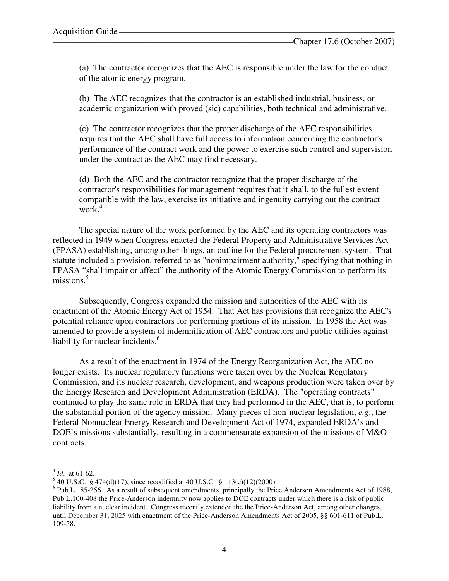(a) The contractor recognizes that the AEC is responsible under the law for the conduct of the atomic energy program.

 (b) The AEC recognizes that the contractor is an established industrial, business, or academic organization with proved (sic) capabilities, both technical and administrative.

 (c) The contractor recognizes that the proper discharge of the AEC responsibilities requires that the AEC shall have full access to information concerning the contractor's performance of the contract work and the power to exercise such control and supervision under the contract as the AEC may find necessary.

 (d) Both the AEC and the contractor recognize that the proper discharge of the contractor's responsibilities for management requires that it shall, to the fullest extent compatible with the law, exercise its initiative and ingenuity carrying out the contract work.<sup>4</sup>

 The special nature of the work performed by the AEC and its operating contractors was reflected in 1949 when Congress enacted the Federal Property and Administrative Services Act (FPASA) establishing, among other things, an outline for the Federal procurement system. That statute included a provision, referred to as "nonimpairment authority," specifying that nothing in FPASA "shall impair or affect" the authority of the Atomic Energy Commission to perform its  $missions.<sup>5</sup>$ 

 Subsequently, Congress expanded the mission and authorities of the AEC with its enactment of the Atomic Energy Act of 1954. That Act has provisions that recognize the AEC's potential reliance upon contractors for performing portions of its mission. In 1958 the Act was amended to provide a system of indemnification of AEC contractors and public utilities against liability for nuclear incidents.<sup>6</sup>

 As a result of the enactment in 1974 of the Energy Reorganization Act, the AEC no longer exists. Its nuclear regulatory functions were taken over by the Nuclear Regulatory Commission, and its nuclear research, development, and weapons production were taken over by the Energy Research and Development Administration (ERDA). The "operating contracts" continued to play the same role in ERDA that they had performed in the AEC, that is, to perform the substantial portion of the agency mission. Many pieces of non-nuclear legislation, *e.g*., the Federal Nonnuclear Energy Research and Development Act of 1974, expanded ERDA's and DOE's missions substantially, resulting in a commensurate expansion of the missions of M&O contracts.

 $\overline{a}$ 

 $4$  *Id.* at 61-62.

 $540$  U.S.C. § 474(d)(17), since recodified at 40 U.S.C. § 113(e)(12)(2000).

 $6$  Pub.L. 85-256. As a result of subsequent amendments, principally the Price Anderson Amendments Act of 1988, Pub.L.100-408 the Price-Anderson indemnity now applies to DOE contracts under which there is a risk of public liability from a nuclear incident. Congress recently extended the the Price-Anderson Act, among other changes, until December 31, 2025 with enactment of the Price-Anderson Amendments Act of 2005, §§ 601-611 of Pub.L. 109-58.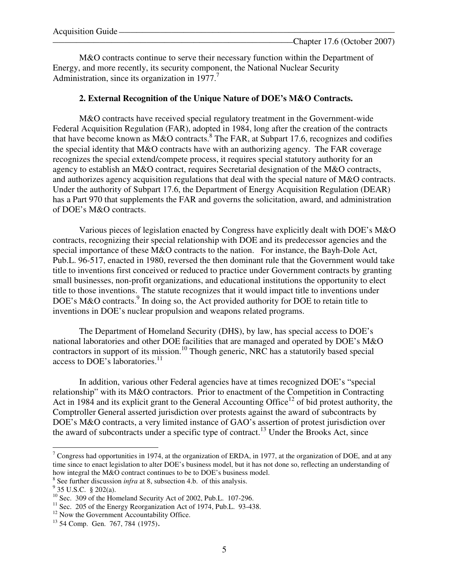M&O contracts continue to serve their necessary function within the Department of Energy, and more recently, its security component, the National Nuclear Security Administration, since its organization in  $1977$ .<sup>7</sup>

#### **2. External Recognition of the Unique Nature of DOE's M&O Contracts.**

 M&O contracts have received special regulatory treatment in the Government-wide Federal Acquisition Regulation (FAR), adopted in 1984, long after the creation of the contracts that have become known as  $M&O$  contracts.<sup>8</sup> The FAR, at Subpart 17.6, recognizes and codifies the special identity that M&O contracts have with an authorizing agency. The FAR coverage recognizes the special extend/compete process, it requires special statutory authority for an agency to establish an M&O contract, requires Secretarial designation of the M&O contracts, and authorizes agency acquisition regulations that deal with the special nature of M&O contracts. Under the authority of Subpart 17.6, the Department of Energy Acquisition Regulation (DEAR) has a Part 970 that supplements the FAR and governs the solicitation, award, and administration of DOE's M&O contracts.

 Various pieces of legislation enacted by Congress have explicitly dealt with DOE's M&O contracts, recognizing their special relationship with DOE and its predecessor agencies and the special importance of these M&O contracts to the nation. For instance, the Bayh-Dole Act, Pub.L. 96-517, enacted in 1980, reversed the then dominant rule that the Government would take title to inventions first conceived or reduced to practice under Government contracts by granting small businesses, non-profit organizations, and educational institutions the opportunity to elect title to those inventions. The statute recognizes that it would impact title to inventions under DOE's M&O contracts.<sup>9</sup> In doing so, the Act provided authority for DOE to retain title to inventions in DOE's nuclear propulsion and weapons related programs.

 The Department of Homeland Security (DHS), by law, has special access to DOE's national laboratories and other DOE facilities that are managed and operated by DOE's M&O contractors in support of its mission.<sup>10</sup> Though generic, NRC has a statutorily based special access to DOE's laboratories.<sup>11</sup>

 In addition, various other Federal agencies have at times recognized DOE's "special relationship" with its M&O contractors. Prior to enactment of the Competition in Contracting Act in 1984 and its explicit grant to the General Accounting Office<sup>12</sup> of bid protest authority, the Comptroller General asserted jurisdiction over protests against the award of subcontracts by DOE's M&O contracts, a very limited instance of GAO's assertion of protest jurisdiction over the award of subcontracts under a specific type of contract.<sup>13</sup> Under the Brooks Act, since

 $\overline{a}$ 

<sup>&</sup>lt;sup>7</sup> Congress had opportunities in 1974, at the organization of ERDA, in 1977, at the organization of DOE, and at any time since to enact legislation to alter DOE's business model, but it has not done so, reflecting an understanding of how integral the M&O contract continues to be to DOE's business model.

<sup>&</sup>lt;sup>8</sup> See further discussion *infra* at 8, subsection 4.b. of this analysis.

 $9^9$  35 U.S.C. § 202(a).

<sup>&</sup>lt;sup>10</sup> Sec. 309 of the Homeland Security Act of 2002, Pub.L. 107-296.

<sup>&</sup>lt;sup>11</sup> Sec. 205 of the Energy Reorganization Act of 1974, Pub.L. 93-438.

<sup>&</sup>lt;sup>12</sup> Now the Government Accountability Office.

 $13$  54 Comp. Gen. 767, 784 (1975).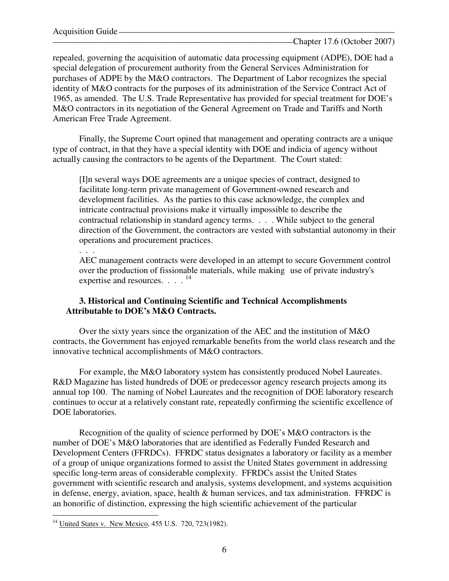repealed, governing the acquisition of automatic data processing equipment (ADPE), DOE had a special delegation of procurement authority from the General Services Administration for purchases of ADPE by the M&O contractors. The Department of Labor recognizes the special identity of M&O contracts for the purposes of its administration of the Service Contract Act of 1965, as amended. The U.S. Trade Representative has provided for special treatment for DOE's M&O contractors in its negotiation of the General Agreement on Trade and Tariffs and North American Free Trade Agreement.

 Finally, the Supreme Court opined that management and operating contracts are a unique type of contract, in that they have a special identity with DOE and indicia of agency without actually causing the contractors to be agents of the Department. The Court stated:

 [I]n several ways DOE agreements are a unique species of contract, designed to facilitate long-term private management of Government-owned research and development facilities. As the parties to this case acknowledge, the complex and intricate contractual provisions make it virtually impossible to describe the contractual relationship in standard agency terms. . . . While subject to the general direction of the Government, the contractors are vested with substantial autonomy in their operations and procurement practices.

# . . .

 AEC management contracts were developed in an attempt to secure Government control over the production of fissionable materials, while making use of private industry's expertise and resources. . . . <sup>14</sup>

#### **3. Historical and Continuing Scientific and Technical Accomplishments Attributable to DOE's M&O Contracts.**

Over the sixty years since the organization of the AEC and the institution of M&O contracts, the Government has enjoyed remarkable benefits from the world class research and the innovative technical accomplishments of M&O contractors.

 For example, the M&O laboratory system has consistently produced Nobel Laureates. R&D Magazine has listed hundreds of DOE or predecessor agency research projects among its annual top 100. The naming of Nobel Laureates and the recognition of DOE laboratory research continues to occur at a relatively constant rate, repeatedly confirming the scientific excellence of DOE laboratories.

 Recognition of the quality of science performed by DOE's M&O contractors is the number of DOE's M&O laboratories that are identified as Federally Funded Research and Development Centers (FFRDCs). FFRDC status designates a laboratory or facility as a member of a group of unique organizations formed to assist the United States government in addressing specific long-term areas of considerable complexity. FFRDCs assist the United States government with scientific research and analysis, systems development, and systems acquisition in defense, energy, aviation, space, health & human services, and tax administration. FFRDC is an honorific of distinction, expressing the high scientific achievement of the particular

 $\overline{a}$ <sup>14</sup> United States v. New Mexico, 455 U.S. 720, 723(1982).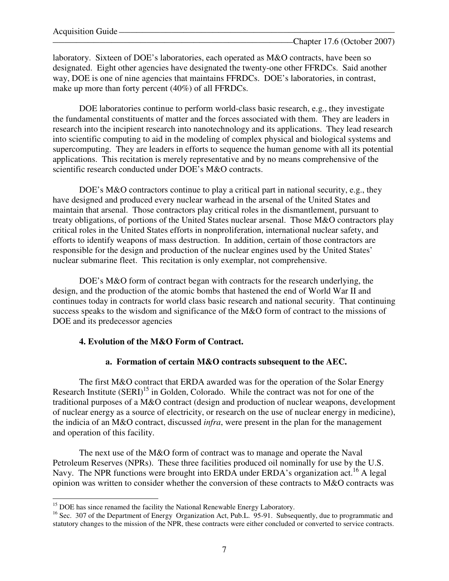laboratory. Sixteen of DOE's laboratories, each operated as M&O contracts, have been so designated. Eight other agencies have designated the twenty-one other FFRDCs. Said another way, DOE is one of nine agencies that maintains FFRDCs. DOE's laboratories, in contrast, make up more than forty percent (40%) of all FFRDCs.

 DOE laboratories continue to perform world-class basic research, e.g., they investigate the fundamental constituents of matter and the forces associated with them. They are leaders in research into the incipient research into nanotechnology and its applications. They lead research into scientific computing to aid in the modeling of complex physical and biological systems and supercomputing. They are leaders in efforts to sequence the human genome with all its potential applications. This recitation is merely representative and by no means comprehensive of the scientific research conducted under DOE's M&O contracts.

 DOE's M&O contractors continue to play a critical part in national security, e.g., they have designed and produced every nuclear warhead in the arsenal of the United States and maintain that arsenal. Those contractors play critical roles in the dismantlement, pursuant to treaty obligations, of portions of the United States nuclear arsenal. Those M&O contractors play critical roles in the United States efforts in nonproliferation, international nuclear safety, and efforts to identify weapons of mass destruction. In addition, certain of those contractors are responsible for the design and production of the nuclear engines used by the United States' nuclear submarine fleet. This recitation is only exemplar, not comprehensive.

 DOE's M&O form of contract began with contracts for the research underlying, the design, and the production of the atomic bombs that hastened the end of World War II and continues today in contracts for world class basic research and national security. That continuing success speaks to the wisdom and significance of the M&O form of contract to the missions of DOE and its predecessor agencies

#### **4. Evolution of the M&O Form of Contract.**

#### **a. Formation of certain M&O contracts subsequent to the AEC.**

The first M&O contract that ERDA awarded was for the operation of the Solar Energy Research Institute  $(SERI)^{15}$  in Golden, Colorado. While the contract was not for one of the traditional purposes of a M&O contract (design and production of nuclear weapons, development of nuclear energy as a source of electricity, or research on the use of nuclear energy in medicine), the indicia of an M&O contract, discussed *infra*, were present in the plan for the management and operation of this facility.

 The next use of the M&O form of contract was to manage and operate the Naval Petroleum Reserves (NPRs). These three facilities produced oil nominally for use by the U.S. Navy. The NPR functions were brought into ERDA under ERDA's organization act.<sup>16</sup> A legal opinion was written to consider whether the conversion of these contracts to M&O contracts was

 $\overline{a}$ <sup>15</sup> DOE has since renamed the facility the National Renewable Energy Laboratory.

<sup>&</sup>lt;sup>16</sup> Sec. 307 of the Department of Energy Organization Act, Pub.L. 95-91. Subsequently, due to programmatic and statutory changes to the mission of the NPR, these contracts were either concluded or converted to service contracts.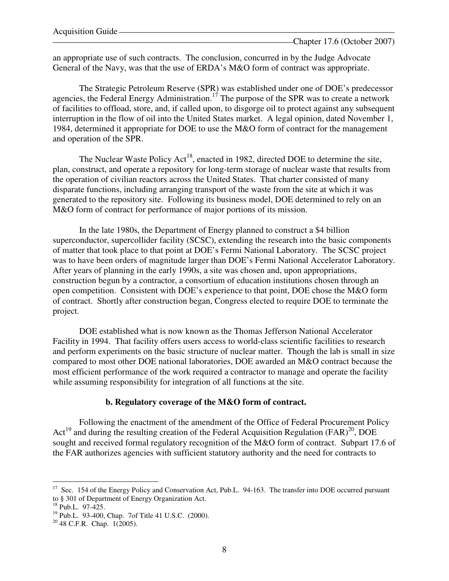an appropriate use of such contracts. The conclusion, concurred in by the Judge Advocate General of the Navy, was that the use of ERDA's M&O form of contract was appropriate.

 The Strategic Petroleum Reserve (SPR) was established under one of DOE's predecessor agencies, the Federal Energy Administration.<sup>17</sup> The purpose of the SPR was to create a network of facilities to offload, store, and, if called upon, to disgorge oil to protect against any subsequent interruption in the flow of oil into the United States market. A legal opinion, dated November 1, 1984, determined it appropriate for DOE to use the M&O form of contract for the management and operation of the SPR.

The Nuclear Waste Policy  $Act^{18}$ , enacted in 1982, directed DOE to determine the site, plan, construct, and operate a repository for long-term storage of nuclear waste that results from the operation of civilian reactors across the United States. That charter consisted of many disparate functions, including arranging transport of the waste from the site at which it was generated to the repository site. Following its business model, DOE determined to rely on an M&O form of contract for performance of major portions of its mission.

 In the late 1980s, the Department of Energy planned to construct a \$4 billion superconductor, supercollider facility (SCSC), extending the research into the basic components of matter that took place to that point at DOE's Fermi National Laboratory. The SCSC project was to have been orders of magnitude larger than DOE's Fermi National Accelerator Laboratory. After years of planning in the early 1990s, a site was chosen and, upon appropriations, construction begun by a contractor, a consortium of education institutions chosen through an open competition. Consistent with DOE's experience to that point, DOE chose the M&O form of contract. Shortly after construction began, Congress elected to require DOE to terminate the project.

 DOE established what is now known as the Thomas Jefferson National Accelerator Facility in 1994. That facility offers users access to world-class scientific facilities to research and perform experiments on the basic structure of nuclear matter. Though the lab is small in size compared to most other DOE national laboratories, DOE awarded an M&O contract because the most efficient performance of the work required a contractor to manage and operate the facility while assuming responsibility for integration of all functions at the site.

#### **b. Regulatory coverage of the M&O form of contract.**

 Following the enactment of the amendment of the Office of Federal Procurement Policy Act<sup>19</sup> and during the resulting creation of the Federal Acquisition Regulation (FAR)<sup>20</sup>, DOE sought and received formal regulatory recognition of the M&O form of contract. Subpart 17.6 of the FAR authorizes agencies with sufficient statutory authority and the need for contracts to

 $\overline{a}$ <sup>17</sup> Sec. 154 of the Energy Policy and Conservation Act, Pub.L. 94-163. The transfer into DOE occurred pursuant to § 301 of Department of Energy Organization Act.

<sup>&</sup>lt;sup>18</sup> Pub.L. 97-425.

<sup>19</sup> Pub.L. 93-400, Chap. 7of Title 41 U.S.C. (2000).

 $20\,48$  C.F.R. Chap. 1(2005).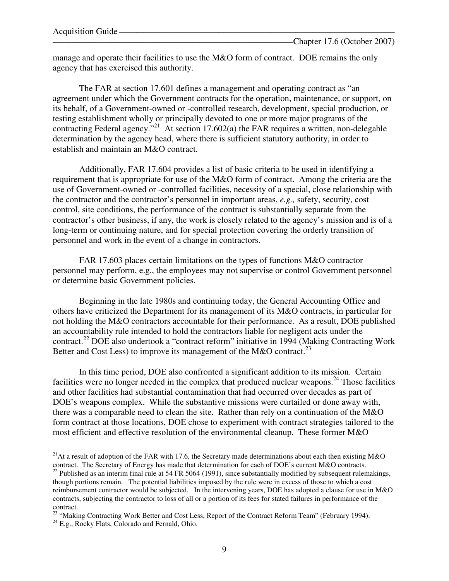manage and operate their facilities to use the M&O form of contract. DOE remains the only agency that has exercised this authority.

 The FAR at section 17.601 defines a management and operating contract as "an agreement under which the Government contracts for the operation, maintenance, or support, on its behalf, of a Government-owned or -controlled research, development, special production, or testing establishment wholly or principally devoted to one or more major programs of the contracting Federal agency.<sup>"21</sup> At section 17.602(a) the FAR requires a written, non-delegable determination by the agency head, where there is sufficient statutory authority, in order to establish and maintain an M&O contract.

 Additionally, FAR 17.604 provides a list of basic criteria to be used in identifying a requirement that is appropriate for use of the M&O form of contract. Among the criteria are the use of Government-owned or -controlled facilities, necessity of a special, close relationship with the contractor and the contractor's personnel in important areas, *e.g.,* safety, security, cost control, site conditions, the performance of the contract is substantially separate from the contractor's other business, if any, the work is closely related to the agency's mission and is of a long-term or continuing nature, and for special protection covering the orderly transition of personnel and work in the event of a change in contractors.

 FAR 17.603 places certain limitations on the types of functions M&O contractor personnel may perform, e.g., the employees may not supervise or control Government personnel or determine basic Government policies.

 Beginning in the late 1980s and continuing today, the General Accounting Office and others have criticized the Department for its management of its M&O contracts, in particular for not holding the M&O contractors accountable for their performance. As a result, DOE published an accountability rule intended to hold the contractors liable for negligent acts under the contract.<sup>22</sup> DOE also undertook a "contract reform" initiative in 1994 (Making Contracting Work Better and Cost Less) to improve its management of the M&O contract.<sup>23</sup>

 In this time period, DOE also confronted a significant addition to its mission. Certain facilities were no longer needed in the complex that produced nuclear weapons.<sup>24</sup> Those facilities and other facilities had substantial contamination that had occurred over decades as part of DOE's weapons complex. While the substantive missions were curtailed or done away with, there was a comparable need to clean the site. Rather than rely on a continuation of the M&O form contract at those locations, DOE chose to experiment with contract strategies tailored to the most efficient and effective resolution of the environmental cleanup. These former M&O

 $\overline{a}$ 

<sup>&</sup>lt;sup>21</sup>At a result of adoption of the FAR with 17.6, the Secretary made determinations about each then existing M&O contract. The Secretary of Energy has made that determination for each of DOE's current M&O contracts.

<sup>&</sup>lt;sup>22</sup> Published as an interim final rule at 54 FR 5064 (1991), since substantially modified by subsequent rulemakings, though portions remain. The potential liabilities imposed by the rule were in excess of those to which a cost reimbursement contractor would be subjected. In the intervening years, DOE has adopted a clause for use in M&O contracts, subjecting the contractor to loss of all or a portion of its fees for stated failures in performance of the contract.

<sup>&</sup>lt;sup>23</sup> "Making Contracting Work Better and Cost Less, Report of the Contract Reform Team" (February 1994).

<sup>&</sup>lt;sup>24</sup> E.g., Rocky Flats, Colorado and Fernald, Ohio.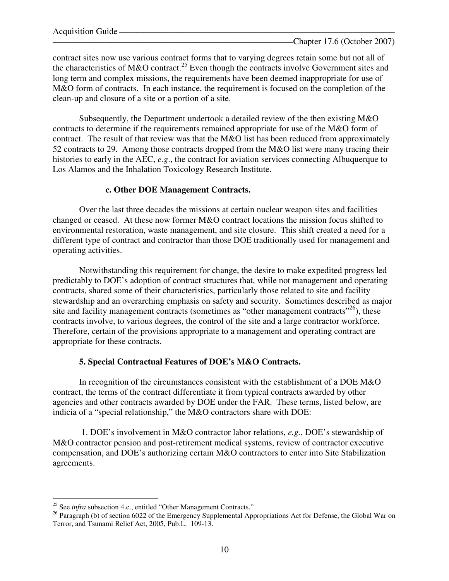contract sites now use various contract forms that to varying degrees retain some but not all of the characteristics of M&O contract.<sup>25</sup> Even though the contracts involve Government sites and long term and complex missions, the requirements have been deemed inappropriate for use of M&O form of contracts. In each instance, the requirement is focused on the completion of the clean-up and closure of a site or a portion of a site.

 Subsequently, the Department undertook a detailed review of the then existing M&O contracts to determine if the requirements remained appropriate for use of the M&O form of contract. The result of that review was that the M&O list has been reduced from approximately 52 contracts to 29. Among those contracts dropped from the M&O list were many tracing their histories to early in the AEC, *e.g*., the contract for aviation services connecting Albuquerque to Los Alamos and the Inhalation Toxicology Research Institute.

#### **c. Other DOE Management Contracts.**

 Over the last three decades the missions at certain nuclear weapon sites and facilities changed or ceased. At these now former M&O contract locations the mission focus shifted to environmental restoration, waste management, and site closure. This shift created a need for a different type of contract and contractor than those DOE traditionally used for management and operating activities.

 Notwithstanding this requirement for change, the desire to make expedited progress led predictably to DOE's adoption of contract structures that, while not management and operating contracts, shared some of their characteristics, particularly those related to site and facility stewardship and an overarching emphasis on safety and security. Sometimes described as major site and facility management contracts (sometimes as "other management contracts"<sup>26</sup>), these contracts involve, to various degrees, the control of the site and a large contractor workforce. Therefore, certain of the provisions appropriate to a management and operating contract are appropriate for these contracts.

#### **5. Special Contractual Features of DOE's M&O Contracts.**

In recognition of the circumstances consistent with the establishment of a DOE M&O contract, the terms of the contract differentiate it from typical contracts awarded by other agencies and other contracts awarded by DOE under the FAR. These terms, listed below, are indicia of a "special relationship," the M&O contractors share with DOE:

 1. DOE's involvement in M&O contractor labor relations, *e.g.*, DOE's stewardship of M&O contractor pension and post-retirement medical systems, review of contractor executive compensation, and DOE's authorizing certain M&O contractors to enter into Site Stabilization agreements.

 $\overline{a}$ <sup>25</sup> See *infra* subsection 4.c., entitled "Other Management Contracts."

<sup>&</sup>lt;sup>26</sup> Paragraph (b) of section 6022 of the Emergency Supplemental Appropriations Act for Defense, the Global War on Terror, and Tsunami Relief Act, 2005, Pub.L. 109-13.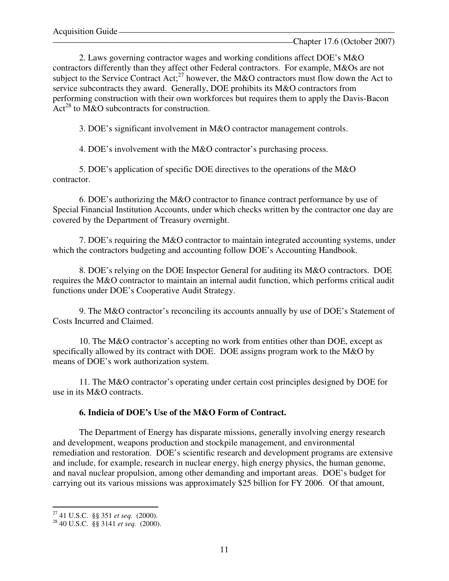Chapter 17.6 (October 2007)

 2. Laws governing contractor wages and working conditions affect DOE's M&O contractors differently than they affect other Federal contractors. For example, M&Os are not subject to the Service Contract  $Act;^{27}$  however, the M&O contractors must flow down the Act to service subcontracts they award. Generally, DOE prohibits its M&O contractors from performing construction with their own workforces but requires them to apply the Davis-Bacon Act<sup>28</sup> to M&O subcontracts for construction.

3. DOE's significant involvement in M&O contractor management controls.

4. DOE's involvement with the M&O contractor's purchasing process.

 5. DOE's application of specific DOE directives to the operations of the M&O contractor.

 6. DOE's authorizing the M&O contractor to finance contract performance by use of Special Financial Institution Accounts, under which checks written by the contractor one day are covered by the Department of Treasury overnight.

 7. DOE's requiring the M&O contractor to maintain integrated accounting systems, under which the contractors budgeting and accounting follow DOE's Accounting Handbook.

 8. DOE's relying on the DOE Inspector General for auditing its M&O contractors. DOE requires the M&O contractor to maintain an internal audit function, which performs critical audit functions under DOE's Cooperative Audit Strategy.

 9. The M&O contractor's reconciling its accounts annually by use of DOE's Statement of Costs Incurred and Claimed.

 10. The M&O contractor's accepting no work from entities other than DOE, except as specifically allowed by its contract with DOE. DOE assigns program work to the M&O by means of DOE's work authorization system.

 11. The M&O contractor's operating under certain cost principles designed by DOE for use in its M&O contracts.

#### **6. Indicia of DOE's Use of the M&O Form of Contract.**

 The Department of Energy has disparate missions, generally involving energy research and development, weapons production and stockpile management, and environmental remediation and restoration. DOE's scientific research and development programs are extensive and include, for example, research in nuclear energy, high energy physics, the human genome, and naval nuclear propulsion, among other demanding and important areas. DOE's budget for carrying out its various missions was approximately \$25 billion for FY 2006. Of that amount,

 $\overline{a}$ <sup>27</sup> 41 U.S.C. §§ 351 *et seq.* (2000).

<sup>28</sup> 40 U.S.C. §§ 3141 *et seq.* (2000).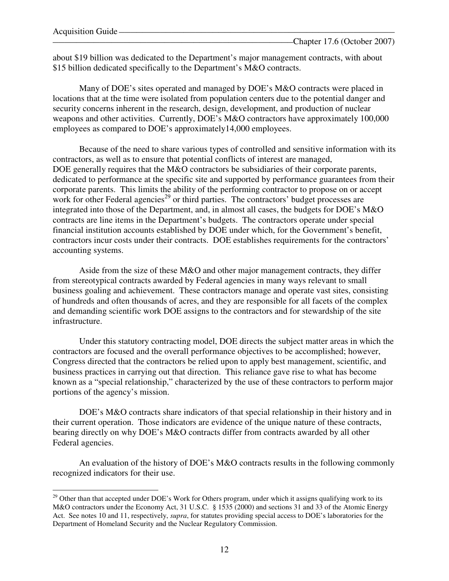$\overline{a}$ 

about \$19 billion was dedicated to the Department's major management contracts, with about \$15 billion dedicated specifically to the Department's M&O contracts.

 Many of DOE's sites operated and managed by DOE's M&O contracts were placed in locations that at the time were isolated from population centers due to the potential danger and security concerns inherent in the research, design, development, and production of nuclear weapons and other activities. Currently, DOE's M&O contractors have approximately 100,000 employees as compared to DOE's approximately14,000 employees.

 Because of the need to share various types of controlled and sensitive information with its contractors, as well as to ensure that potential conflicts of interest are managed, DOE generally requires that the M&O contractors be subsidiaries of their corporate parents, dedicated to performance at the specific site and supported by performance guarantees from their corporate parents. This limits the ability of the performing contractor to propose on or accept work for other Federal agencies<sup>29</sup> or third parties. The contractors' budget processes are integrated into those of the Department, and, in almost all cases, the budgets for DOE's M&O contracts are line items in the Department's budgets. The contractors operate under special financial institution accounts established by DOE under which, for the Government's benefit, contractors incur costs under their contracts. DOE establishes requirements for the contractors' accounting systems.

 Aside from the size of these M&O and other major management contracts, they differ from stereotypical contracts awarded by Federal agencies in many ways relevant to small business goaling and achievement. These contractors manage and operate vast sites, consisting of hundreds and often thousands of acres, and they are responsible for all facets of the complex and demanding scientific work DOE assigns to the contractors and for stewardship of the site infrastructure.

 Under this statutory contracting model, DOE directs the subject matter areas in which the contractors are focused and the overall performance objectives to be accomplished; however, Congress directed that the contractors be relied upon to apply best management, scientific, and business practices in carrying out that direction. This reliance gave rise to what has become known as a "special relationship," characterized by the use of these contractors to perform major portions of the agency's mission.

 DOE's M&O contracts share indicators of that special relationship in their history and in their current operation. Those indicators are evidence of the unique nature of these contracts, bearing directly on why DOE's M&O contracts differ from contracts awarded by all other Federal agencies.

 An evaluation of the history of DOE's M&O contracts results in the following commonly recognized indicators for their use.

<sup>&</sup>lt;sup>29</sup> Other than that accepted under DOE's Work for Others program, under which it assigns qualifying work to its M&O contractors under the Economy Act, 31 U.S.C. § 1535 (2000) and sections 31 and 33 of the Atomic Energy Act. See notes 10 and 11, respectively, *supra*, for statutes providing special access to DOE's laboratories for the Department of Homeland Security and the Nuclear Regulatory Commission.